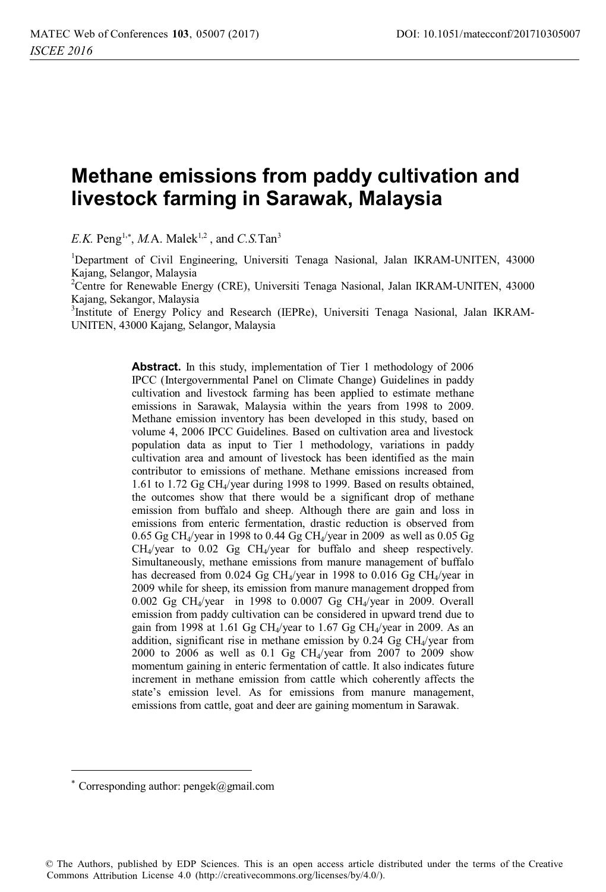# **Methane emissions from paddy cultivation and livestock farming in Sarawak, Malaysia**

 $E.K.$  Peng<sup>1,\*</sup>, *M.A.* Malek<sup>1,2</sup>, and *C.S.* Tan<sup>3</sup>

<sup>1</sup>Department of Civil Engineering, Universiti Tenaga Nasional, Jalan IKRAM-UNITEN, 43000 Kajang, Selangor, Malaysia

<sup>2</sup>Centre for Renewable Energy (CRE), Universiti Tenaga Nasional, Jalan IKRAM-UNITEN, 43000 Kajang, Sekangor, Malaysia

<sup>3</sup>Institute of Energy Policy and Research (IEPRe), Universiti Tenaga Nasional, Jalan IKRAM-UNITEN, 43000 Kajang, Selangor, Malaysia

> **Abstract.** In this study, implementation of Tier 1 methodology of 2006 IPCC (Intergovernmental Panel on Climate Change) Guidelines in paddy cultivation and livestock farming has been applied to estimate methane emissions in Sarawak, Malaysia within the years from 1998 to 2009. Methane emission inventory has been developed in this study, based on volume 4, 2006 IPCC Guidelines. Based on cultivation area and livestock population data as input to Tier 1 methodology, variations in paddy cultivation area and amount of livestock has been identified as the main contributor to emissions of methane. Methane emissions increased from 1.61 to 1.72 Gg CH4/year during 1998 to 1999. Based on results obtained, the outcomes show that there would be a significant drop of methane emission from buffalo and sheep. Although there are gain and loss in emissions from enteric fermentation, drastic reduction is observed from  $0.65$  Gg CH<sub>4</sub>/year in 1998 to 0.44 Gg CH<sub>4</sub>/year in 2009 as well as 0.05 Gg CH4/year to 0.02 Gg CH4/year for buffalo and sheep respectively. Simultaneously, methane emissions from manure management of buffalo has decreased from 0.024 Gg CH<sub>4</sub>/year in 1998 to 0.016 Gg CH<sub>4</sub>/year in 2009 while for sheep, its emission from manure management dropped from 0.002 Gg CH4/year in 1998 to 0.0007 Gg CH4/year in 2009. Overall emission from paddy cultivation can be considered in upward trend due to gain from 1998 at 1.61 Gg CH<sub>4</sub>/year to 1.67 Gg CH<sub>4</sub>/year in 2009. As an addition, significant rise in methane emission by  $0.24$  Gg CH<sub>4</sub>/year from 2000 to 2006 as well as  $0.1$  Gg CH<sub>4</sub>/year from 2007 to 2009 show momentum gaining in enteric fermentation of cattle. It also indicates future increment in methane emission from cattle which coherently affects the state's emission level. As for emissions from manure management, emissions from cattle, goat and deer are gaining momentum in Sarawak.

 $\overline{a}$ 

© The Authors, published by EDP Sciences. This is an open access article distributed under the terms of the Creative Commons Attribution License 4.0 (http://creativecommons.org/licenses/by/4.0/).

 $*$  Corresponding author: pengek@gmail.com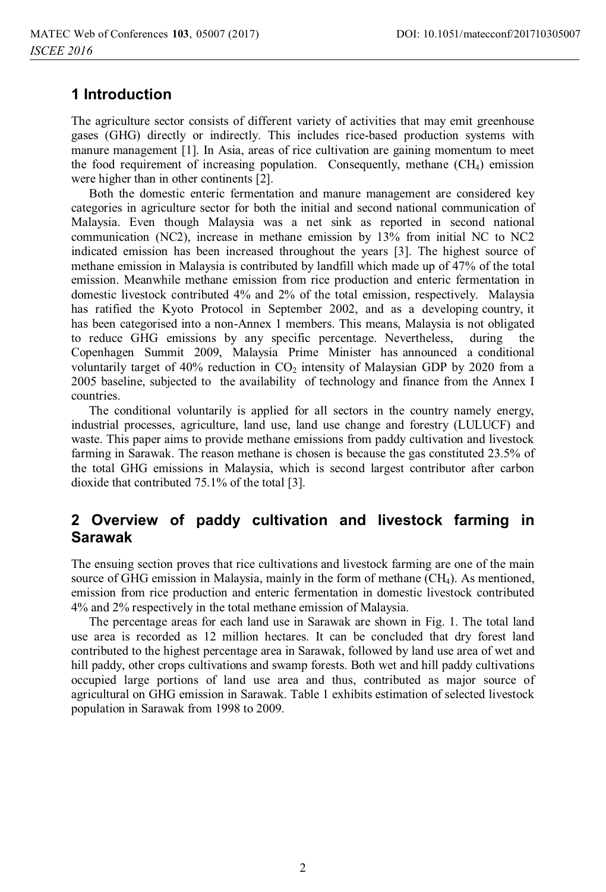# **1 Introduction**

The agriculture sector consists of different variety of activities that may emit greenhouse gases (GHG) directly or indirectly. This includes rice-based production systems with manure management [1]. In Asia, areas of rice cultivation are gaining momentum to meet the food requirement of increasing population. Consequently, methane  $(CH_4)$  emission were higher than in other continents [2].

Both the domestic enteric fermentation and manure management are considered key categories in agriculture sector for both the initial and second national communication of Malaysia. Even though Malaysia was a net sink as reported in second national communication (NC2), increase in methane emission by 13% from initial NC to NC2 indicated emission has been increased throughout the years [3]. The highest source of methane emission in Malaysia is contributed by landfill which made up of 47% of the total emission. Meanwhile methane emission from rice production and enteric fermentation in domestic livestock contributed 4% and 2% of the total emission, respectively. Malaysia has ratified the Kyoto Protocol in September 2002, and as a developing country, it has been categorised into a non-Annex 1 members. This means, Malaysia is not obligated to reduce GHG emissions by any specific percentage. Nevertheless, during the Copenhagen Summit 2009, Malaysia Prime Minister has announced a conditional voluntarily target of  $40\%$  reduction in CO<sub>2</sub> intensity of Malaysian GDP by 2020 from a 2005 baseline, subjected to the availability of technology and finance from the Annex I countries.

The conditional voluntarily is applied for all sectors in the country namely energy, industrial processes, agriculture, land use, land use change and forestry (LULUCF) and waste. This paper aims to provide methane emissions from paddy cultivation and livestock farming in Sarawak. The reason methane is chosen is because the gas constituted 23.5% of the total GHG emissions in Malaysia, which is second largest contributor after carbon dioxide that contributed 75.1% of the total [3].

# **2 Overview of paddy cultivation and livestock farming in Sarawak**

The ensuing section proves that rice cultivations and livestock farming are one of the main source of GHG emission in Malaysia, mainly in the form of methane (CH4). As mentioned, emission from rice production and enteric fermentation in domestic livestock contributed 4% and 2% respectively in the total methane emission of Malaysia.

The percentage areas for each land use in Sarawak are shown in Fig. 1. The total land use area is recorded as 12 million hectares. It can be concluded that dry forest land contributed to the highest percentage area in Sarawak, followed by land use area of wet and hill paddy, other crops cultivations and swamp forests. Both wet and hill paddy cultivations occupied large portions of land use area and thus, contributed as major source of agricultural on GHG emission in Sarawak. Table 1 exhibits estimation of selected livestock population in Sarawak from 1998 to 2009.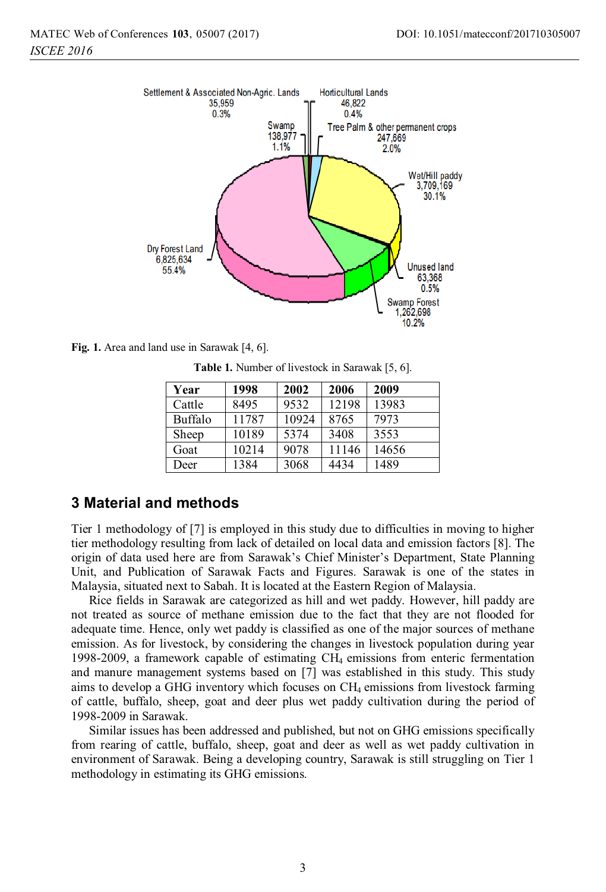

**Fig. 1.** Area and land use in Sarawak [4, 6].

**Table 1.** Number of livestock in Sarawak [5, 6].

| Year    | 1998  | 2002  | 2006  | 2009  |
|---------|-------|-------|-------|-------|
| Cattle  | 8495  | 9532  | 12198 | 13983 |
| Buffalo | 11787 | 10924 | 8765  | 7973  |
| Sheep   | 10189 | 5374  | 3408  | 3553  |
| Goat    | 10214 | 9078  | 11146 | 14656 |
| Deer    | 1384  | 3068  | 4434  | 1489  |

# **3 Material and methods**

Tier 1 methodology of [7] is employed in this study due to difficulties in moving to higher tier methodology resulting from lack of detailed on local data and emission factors [8]. The origin of data used here are from Sarawak's Chief Minister's Department, State Planning Unit, and Publication of Sarawak Facts and Figures. Sarawak is one of the states in Malaysia, situated next to Sabah. It is located at the Eastern Region of Malaysia.

Rice fields in Sarawak are categorized as hill and wet paddy. However, hill paddy are not treated as source of methane emission due to the fact that they are not flooded for adequate time. Hence, only wet paddy is classified as one of the major sources of methane emission. As for livestock, by considering the changes in livestock population during year 1998-2009, a framework capable of estimating CH4 emissions from enteric fermentation and manure management systems based on [7] was established in this study. This study aims to develop a GHG inventory which focuses on  $CH_4$  emissions from livestock farming of cattle, buffalo, sheep, goat and deer plus wet paddy cultivation during the period of 1998-2009 in Sarawak.

Similar issues has been addressed and published, but not on GHG emissions specifically from rearing of cattle, buffalo, sheep, goat and deer as well as wet paddy cultivation in environment of Sarawak. Being a developing country, Sarawak is still struggling on Tier 1 methodology in estimating its GHG emissions.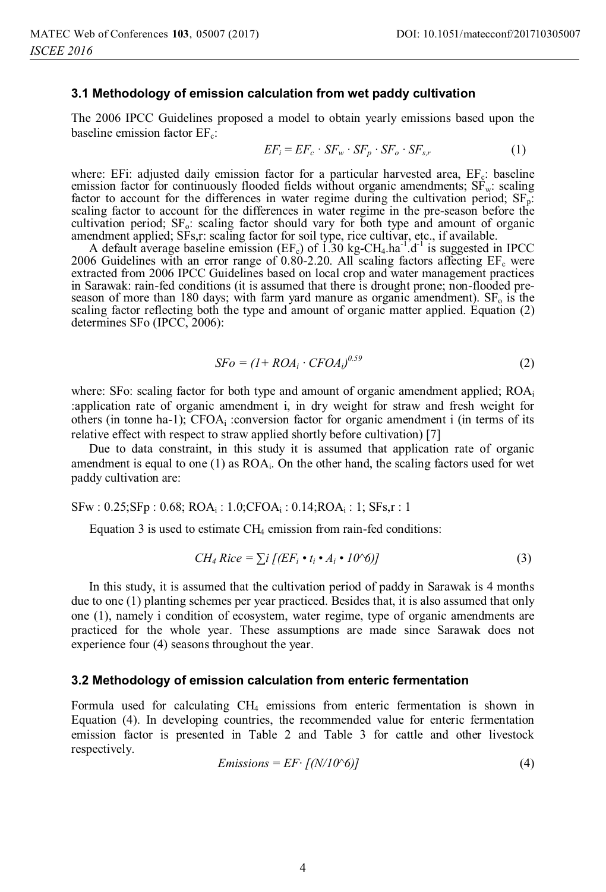#### **3.1 Methodology of emission calculation from wet paddy cultivation**

The 2006 IPCC Guidelines proposed a model to obtain yearly emissions based upon the baseline emission factor  $EF_c$ :

$$
EF_i = EF_c \cdot SF_w \cdot SF_p \cdot SF_o \cdot SF_{s,r} \tag{1}
$$

where: EFi: adjusted daily emission factor for a particular harvested area,  $EF_c$ : baseline emission factor for continuously flooded fields without organic amendments;  $S\vec{F}_w$ : scaling factor to account for the differences in water regime during the cultivation period;  $SF<sub>p</sub>$ : scaling factor to account for the differences in water regime in the pre-season before the cultivation period;  $SF_0$ : scaling factor should vary for both type and amount of organic amendment applied; SFs,r: scaling factor for soil type, rice cultivar, etc., if available.

A default average baseline emission (EF<sub>c</sub>) of  $1.30 \text{ kg-CH}_4$  ha<sup>-1</sup>.d<sup>-1</sup> is suggested in IPCC 2006 Guidelines with an error range of 0.80-2.20. All scaling factors affecting  $EF_c$  were extracted from 2006 IPCC Guidelines based on local crop and water management practices in Sarawak: rain-fed conditions (it is assumed that there is drought prone; non-flooded preseason of more than 180 days; with farm yard manure as organic amendment).  $SF_0$  is the scaling factor reflecting both the type and amount of organic matter applied. Equation (2) determines SFo (IPCC, 2006):

$$
SFo = (1 + ROA_i \cdot CFOA_i)^{0.59} \tag{2}
$$

where: SFo: scaling factor for both type and amount of organic amendment applied; ROA<sub>i</sub> :application rate of organic amendment i, in dry weight for straw and fresh weight for others (in tonne ha-1);  $CFOA_i$ : conversion factor for organic amendment i (in terms of its relative effect with respect to straw applied shortly before cultivation) [7]

Due to data constraint, in this study it is assumed that application rate of organic amendment is equal to one  $(1)$  as  $ROA<sub>i</sub>$ . On the other hand, the scaling factors used for wet paddy cultivation are:

SFw : 0.25;SFp : 0.68; ROAi : 1.0;CFOAi : 0.14;ROAi : 1; SFs,r : 1

Equation 3 is used to estimate  $CH<sub>4</sub>$  emission from rain-fed conditions:

$$
CH_4 \text{Rice} = \sum i \left[ (EF_i \cdot t_i \cdot A_i \cdot 10^{\circ}6) \right]
$$
 (3)

In this study, it is assumed that the cultivation period of paddy in Sarawak is 4 months due to one (1) planting schemes per year practiced. Besides that, it is also assumed that only one (1), namely i condition of ecosystem, water regime, type of organic amendments are practiced for the whole year. These assumptions are made since Sarawak does not experience four (4) seasons throughout the year.

#### **3.2 Methodology of emission calculation from enteric fermentation**

Formula used for calculating CH4 emissions from enteric fermentation is shown in Equation (4). In developing countries, the recommended value for enteric fermentation emission factor is presented in Table 2 and Table 3 for cattle and other livestock respectively.

$$
Emissions = EF \cdot \left[ (N/10^6) \right] \tag{4}
$$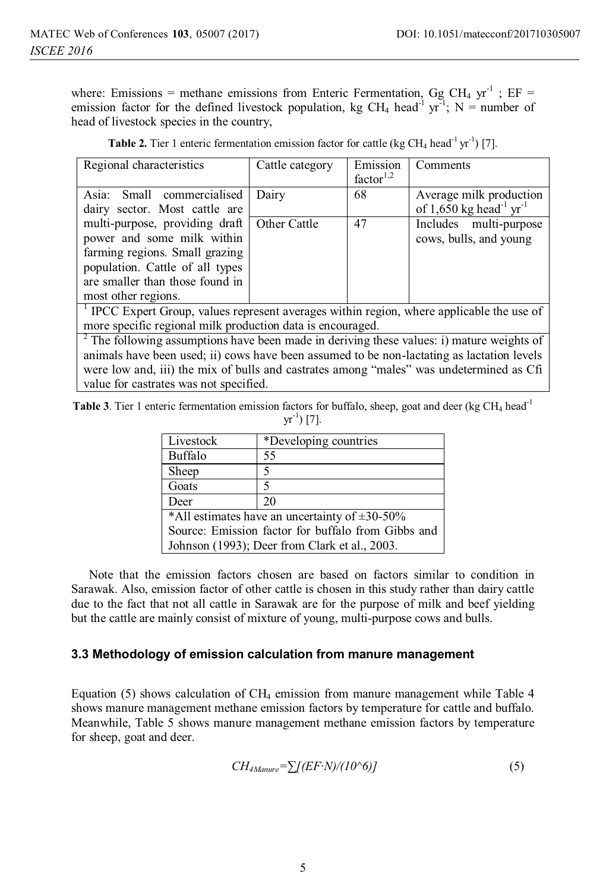where: Emissions = methane emissions from Enteric Fermentation, Gg CH<sub>4</sub> yr<sup>-1</sup>; EF = emission factor for the defined livestock population, kg CH<sub>4</sub> head<sup>-1</sup> yr<sup>-1</sup>; N = number of head of livestock species in the country,

| Regional characteristics                                                                                                                                                                    | Cattle category | Emission<br>factor <sup>1,2</sup> | Comments                                                                   |  |
|---------------------------------------------------------------------------------------------------------------------------------------------------------------------------------------------|-----------------|-----------------------------------|----------------------------------------------------------------------------|--|
| Asia: Small commercialised<br>dairy sector. Most cattle are                                                                                                                                 | Dairy           | 68                                | Average milk production<br>of 1,650 kg head <sup>-1</sup> yr <sup>-1</sup> |  |
| multi-purpose, providing draft<br>power and some milk within<br>farming regions. Small grazing<br>population. Cattle of all types<br>are smaller than those found in<br>most other regions. | Other Cattle    | 47                                | Includes multi-purpose<br>cows, bulls, and young                           |  |
| <sup>1</sup> IPCC Expert Group, values represent averages within region, where applicable the use of                                                                                        |                 |                                   |                                                                            |  |
| more specific regional milk production data is encouraged.                                                                                                                                  |                 |                                   |                                                                            |  |
| <sup>2</sup> The following assumptions have been made in deriving these values: i) mature weights of                                                                                        |                 |                                   |                                                                            |  |

**Table 2.** Tier 1 enteric fermentation emission factor for cattle (kg  $CH_4$  head<sup>-1</sup> yr<sup>-1</sup>) [7].

animals have been used; ii) cows have been assumed to be non-lactating as lactation levels were low and, iii) the mix of bulls and castrates among "males" was undetermined as Cfi value for castrates was not specified.

**Table 3**. Tier 1 enteric fermentation emission factors for buffalo, sheep, goat and deer (kg CH<sub>4</sub> head<sup>-1</sup>)  $yr^{-1}$ ) [7].

| Livestock                                             | *Developing countries |  |  |
|-------------------------------------------------------|-----------------------|--|--|
| Buffalo                                               | 55                    |  |  |
| Sheep                                                 |                       |  |  |
| Goats                                                 |                       |  |  |
| Deer                                                  | 20                    |  |  |
| *All estimates have an uncertainty of $\pm 30 - 50\%$ |                       |  |  |
| Source: Emission factor for buffalo from Gibbs and    |                       |  |  |
| Johnson (1993); Deer from Clark et al., 2003.         |                       |  |  |

Note that the emission factors chosen are based on factors similar to condition in Sarawak. Also, emission factor of other cattle is chosen in this study rather than dairy cattle due to the fact that not all cattle in Sarawak are for the purpose of milk and beef yielding but the cattle are mainly consist of mixture of young, multi-purpose cows and bulls.

# **3.3 Methodology of emission calculation from manure management**

Equation (5) shows calculation of  $CH_4$  emission from manure management while Table 4 shows manure management methane emission factors by temperature for cattle and buffalo. Meanwhile, Table 5 shows manure management methane emission factors by temperature for sheep, goat and deer.

$$
CH_{4Mamure} = \sum [(EF \cdot N)/(10 \cdot 6)] \tag{5}
$$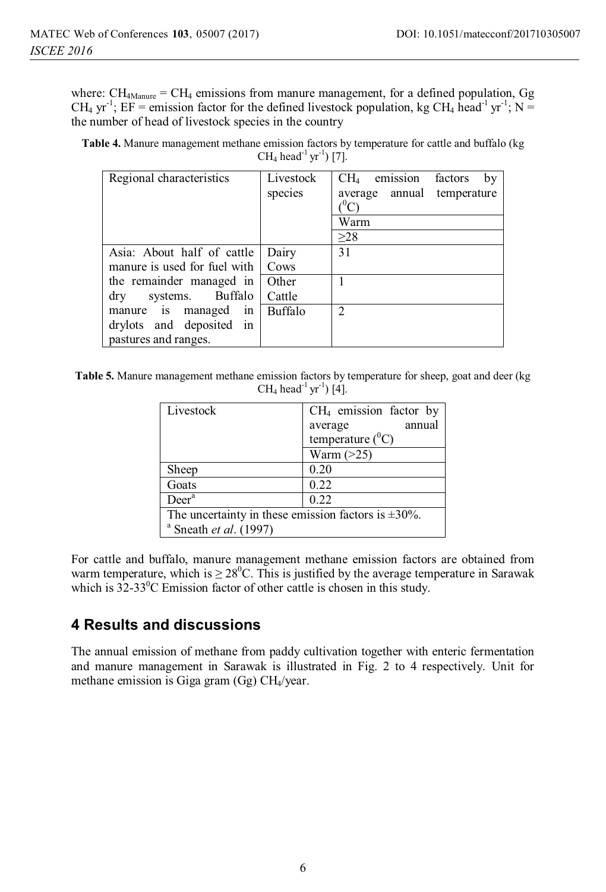where:  $CH<sub>4M</sub>$ <sub>Manure</sub> =  $CH<sub>4</sub>$  emissions from manure management, for a defined population, Gg CH<sub>4</sub> yr<sup>-1</sup>; EF = emission factor for the defined livestock population, kg CH<sub>4</sub> head<sup>-1</sup> yr<sup>-1</sup>; N = the number of head of livestock species in the country

**Table 4.** Manure management methane emission factors by temperature for cattle and buffalo (kg CH<sub>4</sub> head<sup>-1</sup> yr<sup>-1</sup>) [7].

| Regional characteristics       | Livestock<br>species | CH <sub>4</sub><br>emission<br>factors<br>by<br>average annual<br>temperature<br>O <sup>0</sup> C<br>Warm<br>>28 |
|--------------------------------|----------------------|------------------------------------------------------------------------------------------------------------------|
| Asia: About half of cattle     | Dairy                | 31                                                                                                               |
| manure is used for fuel with   | Cows                 |                                                                                                                  |
| the remainder managed in       | Other                |                                                                                                                  |
| systems. Buffalo<br>$\rm{dry}$ | Cattle               |                                                                                                                  |
| manure is managed in           | Buffalo              | 2                                                                                                                |
| drylots and deposited in       |                      |                                                                                                                  |
| pastures and ranges.           |                      |                                                                                                                  |

**Table 5.** Manure management methane emission factors by temperature for sheep, goat and deer (kg CH<sub>4</sub> head<sup>-1</sup> yr<sup>-1</sup>) [4].

| Livestock                                                 | $CH4$ emission factor by |  |  |
|-----------------------------------------------------------|--------------------------|--|--|
|                                                           | annual<br>average        |  |  |
|                                                           | temperature $(^0C)$      |  |  |
|                                                           | Warm $(>25)$             |  |  |
| Sheep                                                     | 0.20                     |  |  |
| Goats                                                     | 0.22                     |  |  |
| Deer <sup>a</sup>                                         | 0.22                     |  |  |
| The uncertainty in these emission factors is $\pm 30\%$ . |                          |  |  |
| $a$ Sneath <i>et al.</i> (1997)                           |                          |  |  |

For cattle and buffalo, manure management methane emission factors are obtained from warm temperature, which is  $\geq 28^{\circ}$ C. This is justified by the average temperature in Sarawak which is  $32-33^{\circ}$ C Emission factor of other cattle is chosen in this study.

# **4 Results and discussions**

The annual emission of methane from paddy cultivation together with enteric fermentation and manure management in Sarawak is illustrated in Fig. 2 to 4 respectively. Unit for methane emission is Giga gram (Gg) CH4/year.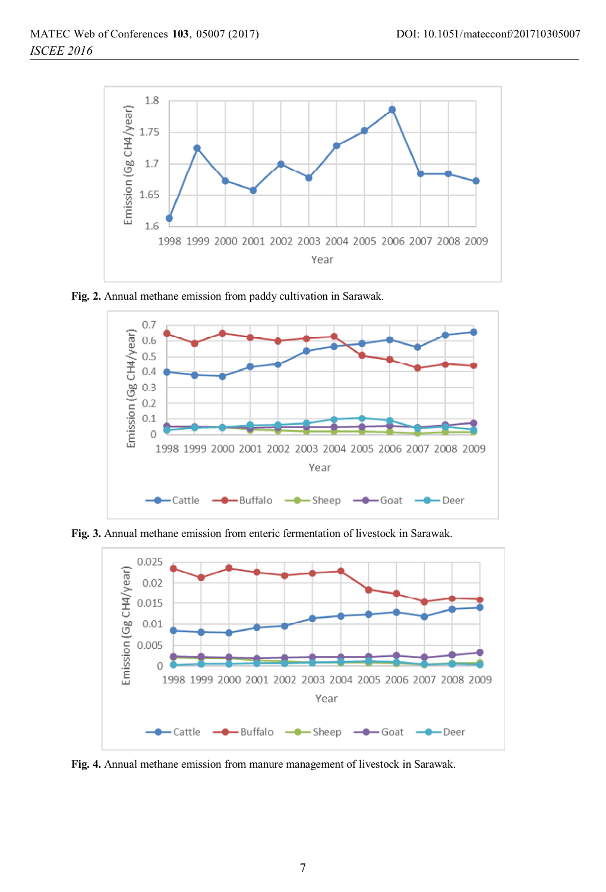

**Fig. 2.** Annual methane emission from paddy cultivation in Sarawak.



**Fig. 3.** Annual methane emission from enteric fermentation of livestock in Sarawak.



**Fig. 4.** Annual methane emission from manure management of livestock in Sarawak.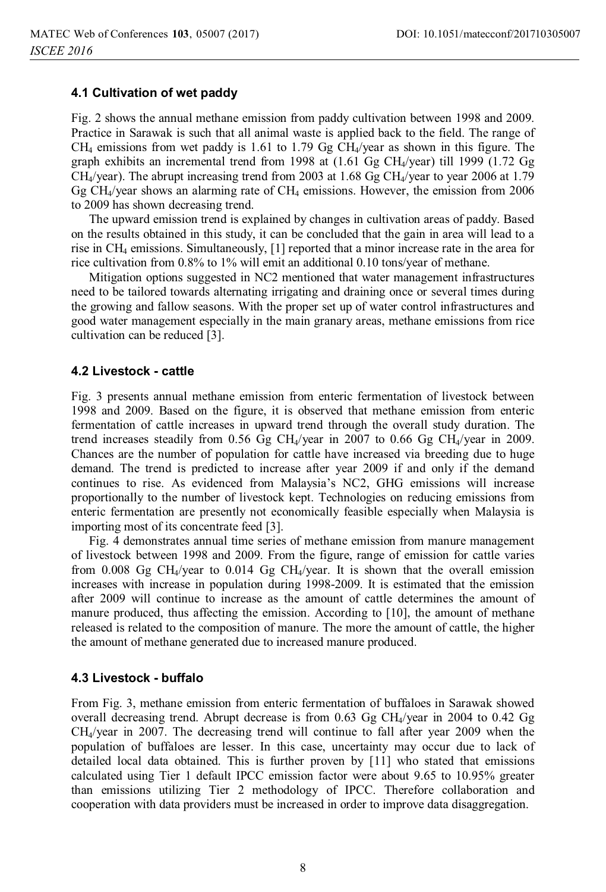## **4.1 Cultivation of wet paddy**

Fig. 2 shows the annual methane emission from paddy cultivation between 1998 and 2009. Practice in Sarawak is such that all animal waste is applied back to the field. The range of  $CH_4$  emissions from wet paddy is 1.61 to 1.79 Gg  $CH_4$ /year as shown in this figure. The graph exhibits an incremental trend from 1998 at (1.61 Gg CH4/year) till 1999 (1.72 Gg  $CH<sub>4</sub>/year$ ). The abrupt increasing trend from 2003 at 1.68 Gg  $CH<sub>4</sub>/year$  to year 2006 at 1.79 Gg CH<sub>4</sub>/year shows an alarming rate of CH<sub>4</sub> emissions. However, the emission from 2006 to 2009 has shown decreasing trend.

The upward emission trend is explained by changes in cultivation areas of paddy. Based on the results obtained in this study, it can be concluded that the gain in area will lead to a rise in CH4 emissions. Simultaneously, [1] reported that a minor increase rate in the area for rice cultivation from 0.8% to 1% will emit an additional 0.10 tons/year of methane.

Mitigation options suggested in NC2 mentioned that water management infrastructures need to be tailored towards alternating irrigating and draining once or several times during the growing and fallow seasons. With the proper set up of water control infrastructures and good water management especially in the main granary areas, methane emissions from rice cultivation can be reduced [3].

## **4.2 Livestock - cattle**

Fig. 3 presents annual methane emission from enteric fermentation of livestock between 1998 and 2009. Based on the figure, it is observed that methane emission from enteric fermentation of cattle increases in upward trend through the overall study duration. The trend increases steadily from 0.56 Gg CH<sub>4</sub>/year in 2007 to 0.66 Gg CH<sub>4</sub>/year in 2009. Chances are the number of population for cattle have increased via breeding due to huge demand. The trend is predicted to increase after year 2009 if and only if the demand continues to rise. As evidenced from Malaysia's NC2, GHG emissions will increase proportionally to the number of livestock kept. Technologies on reducing emissions from enteric fermentation are presently not economically feasible especially when Malaysia is importing most of its concentrate feed [3].

Fig. 4 demonstrates annual time series of methane emission from manure management of livestock between 1998 and 2009. From the figure, range of emission for cattle varies from 0.008 Gg CH<sub>4</sub>/year to 0.014 Gg CH<sub>4</sub>/year. It is shown that the overall emission increases with increase in population during 1998-2009. It is estimated that the emission after 2009 will continue to increase as the amount of cattle determines the amount of manure produced, thus affecting the emission. According to [10], the amount of methane released is related to the composition of manure. The more the amount of cattle, the higher the amount of methane generated due to increased manure produced.

## **4.3 Livestock - buffalo**

From Fig. 3, methane emission from enteric fermentation of buffaloes in Sarawak showed overall decreasing trend. Abrupt decrease is from  $0.63$  Gg CH<sub>4</sub>/year in 2004 to  $0.42$  Gg CH4/year in 2007. The decreasing trend will continue to fall after year 2009 when the population of buffaloes are lesser. In this case, uncertainty may occur due to lack of detailed local data obtained. This is further proven by [11] who stated that emissions calculated using Tier 1 default IPCC emission factor were about 9.65 to 10.95% greater than emissions utilizing Tier 2 methodology of IPCC. Therefore collaboration and cooperation with data providers must be increased in order to improve data disaggregation.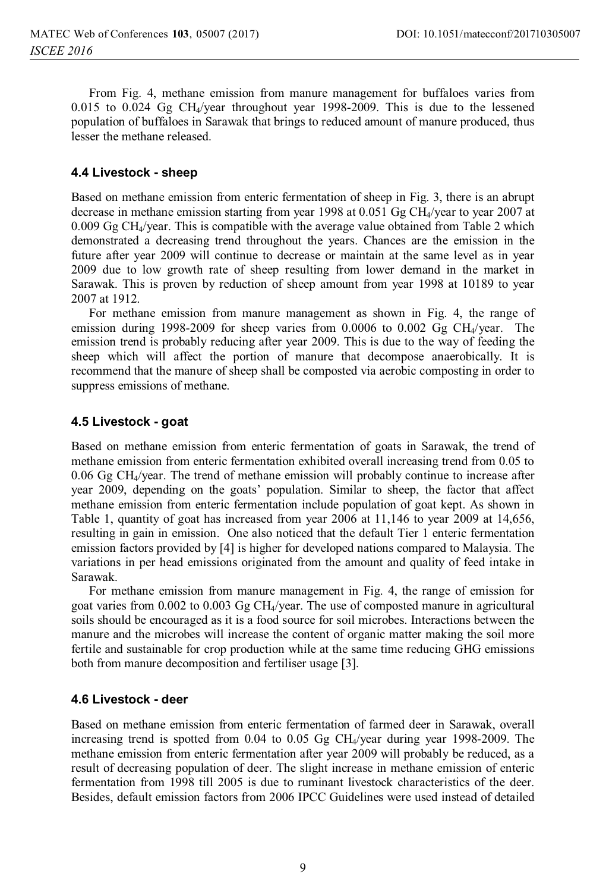From Fig. 4, methane emission from manure management for buffaloes varies from 0.015 to 0.024 Gg CH<sub>4</sub>/year throughout year 1998-2009. This is due to the lessened population of buffaloes in Sarawak that brings to reduced amount of manure produced, thus lesser the methane released.

#### **4.4 Livestock - sheep**

Based on methane emission from enteric fermentation of sheep in Fig. 3, there is an abrupt decrease in methane emission starting from year 1998 at 0.051 Gg CH<sub>4</sub>/year to year 2007 at  $0.009$  Gg CH<sub>4</sub>/year. This is compatible with the average value obtained from Table 2 which demonstrated a decreasing trend throughout the years. Chances are the emission in the future after year 2009 will continue to decrease or maintain at the same level as in year 2009 due to low growth rate of sheep resulting from lower demand in the market in Sarawak. This is proven by reduction of sheep amount from year 1998 at 10189 to year 2007 at 1912.

For methane emission from manure management as shown in Fig. 4, the range of emission during 1998-2009 for sheep varies from  $0.0006$  to  $0.002$  Gg CH<sub>4</sub>/year. The emission trend is probably reducing after year 2009. This is due to the way of feeding the sheep which will affect the portion of manure that decompose anaerobically. It is recommend that the manure of sheep shall be composted via aerobic composting in order to suppress emissions of methane.

#### **4.5 Livestock - goat**

Based on methane emission from enteric fermentation of goats in Sarawak, the trend of methane emission from enteric fermentation exhibited overall increasing trend from 0.05 to 0.06 Gg CH4/year. The trend of methane emission will probably continue to increase after year 2009, depending on the goats' population. Similar to sheep, the factor that affect methane emission from enteric fermentation include population of goat kept. As shown in Table 1, quantity of goat has increased from year 2006 at 11,146 to year 2009 at 14,656, resulting in gain in emission. One also noticed that the default Tier 1 enteric fermentation emission factors provided by [4] is higher for developed nations compared to Malaysia. The variations in per head emissions originated from the amount and quality of feed intake in Sarawak.

For methane emission from manure management in Fig. 4, the range of emission for goat varies from 0.002 to 0.003 Gg CH4/year. The use of composted manure in agricultural soils should be encouraged as it is a food source for soil microbes. Interactions between the manure and the microbes will increase the content of organic matter making the soil more fertile and sustainable for crop production while at the same time reducing GHG emissions both from manure decomposition and fertiliser usage [3].

## **4.6 Livestock - deer**

Based on methane emission from enteric fermentation of farmed deer in Sarawak, overall increasing trend is spotted from 0.04 to 0.05 Gg CH4/year during year 1998-2009. The methane emission from enteric fermentation after year 2009 will probably be reduced, as a result of decreasing population of deer. The slight increase in methane emission of enteric fermentation from 1998 till 2005 is due to ruminant livestock characteristics of the deer. Besides, default emission factors from 2006 IPCC Guidelines were used instead of detailed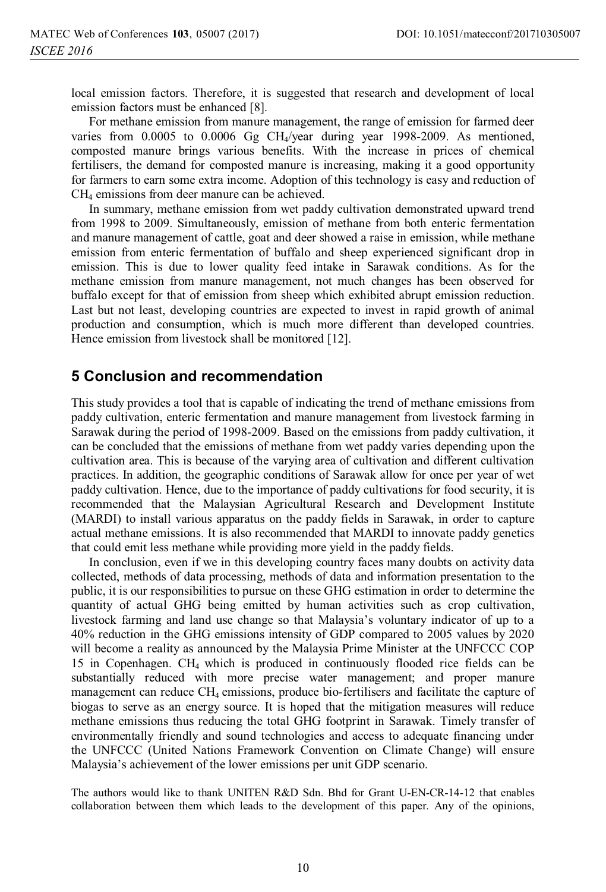local emission factors. Therefore, it is suggested that research and development of local emission factors must be enhanced [8].

For methane emission from manure management, the range of emission for farmed deer varies from 0.0005 to 0.0006 Gg CH4/year during year 1998-2009. As mentioned, composted manure brings various benefits. With the increase in prices of chemical fertilisers, the demand for composted manure is increasing, making it a good opportunity for farmers to earn some extra income. Adoption of this technology is easy and reduction of CH4 emissions from deer manure can be achieved.

In summary, methane emission from wet paddy cultivation demonstrated upward trend from 1998 to 2009. Simultaneously, emission of methane from both enteric fermentation and manure management of cattle, goat and deer showed a raise in emission, while methane emission from enteric fermentation of buffalo and sheep experienced significant drop in emission. This is due to lower quality feed intake in Sarawak conditions. As for the methane emission from manure management, not much changes has been observed for buffalo except for that of emission from sheep which exhibited abrupt emission reduction. Last but not least, developing countries are expected to invest in rapid growth of animal production and consumption, which is much more different than developed countries. Hence emission from livestock shall be monitored [12].

# **5 Conclusion and recommendation**

This study provides a tool that is capable of indicating the trend of methane emissions from paddy cultivation, enteric fermentation and manure management from livestock farming in Sarawak during the period of 1998-2009. Based on the emissions from paddy cultivation, it can be concluded that the emissions of methane from wet paddy varies depending upon the cultivation area. This is because of the varying area of cultivation and different cultivation practices. In addition, the geographic conditions of Sarawak allow for once per year of wet paddy cultivation. Hence, due to the importance of paddy cultivations for food security, it is recommended that the Malaysian Agricultural Research and Development Institute (MARDI) to install various apparatus on the paddy fields in Sarawak, in order to capture actual methane emissions. It is also recommended that MARDI to innovate paddy genetics that could emit less methane while providing more yield in the paddy fields.

In conclusion, even if we in this developing country faces many doubts on activity data collected, methods of data processing, methods of data and information presentation to the public, it is our responsibilities to pursue on these GHG estimation in order to determine the quantity of actual GHG being emitted by human activities such as crop cultivation, livestock farming and land use change so that Malaysia's voluntary indicator of up to a 40% reduction in the GHG emissions intensity of GDP compared to 2005 values by 2020 will become a reality as announced by the Malaysia Prime Minister at the UNFCCC COP 15 in Copenhagen. CH4 which is produced in continuously flooded rice fields can be substantially reduced with more precise water management; and proper manure management can reduce  $CH_4$  emissions, produce bio-fertilisers and facilitate the capture of biogas to serve as an energy source. It is hoped that the mitigation measures will reduce methane emissions thus reducing the total GHG footprint in Sarawak. Timely transfer of environmentally friendly and sound technologies and access to adequate financing under the UNFCCC (United Nations Framework Convention on Climate Change) will ensure Malaysia's achievement of the lower emissions per unit GDP scenario.

The authors would like to thank UNITEN R&D Sdn. Bhd for Grant U-EN-CR-14-12 that enables collaboration between them which leads to the development of this paper. Any of the opinions,